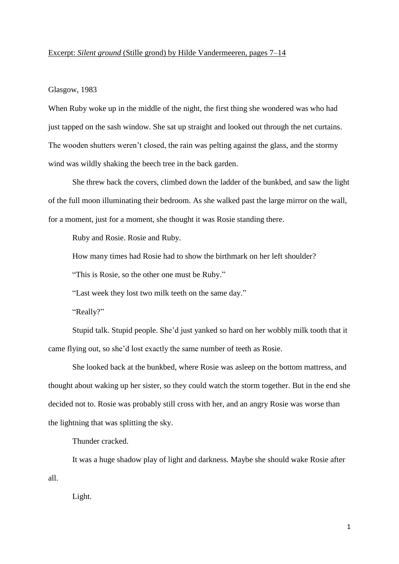## Excerpt: *Silent ground* (Stille grond) by Hilde Vandermeeren, pages 7–14

## Glasgow, 1983

When Ruby woke up in the middle of the night, the first thing she wondered was who had just tapped on the sash window. She sat up straight and looked out through the net curtains. The wooden shutters weren't closed, the rain was pelting against the glass, and the stormy wind was wildly shaking the beech tree in the back garden.

She threw back the covers, climbed down the ladder of the bunkbed, and saw the light of the full moon illuminating their bedroom. As she walked past the large mirror on the wall, for a moment, just for a moment, she thought it was Rosie standing there.

Ruby and Rosie. Rosie and Ruby.

How many times had Rosie had to show the birthmark on her left shoulder?

"This is Rosie, so the other one must be Ruby."

"Last week they lost two milk teeth on the same day."

"Really?"

Stupid talk. Stupid people. She'd just yanked so hard on her wobbly milk tooth that it came flying out, so she'd lost exactly the same number of teeth as Rosie.

She looked back at the bunkbed, where Rosie was asleep on the bottom mattress, and thought about waking up her sister, so they could watch the storm together. But in the end she decided not to. Rosie was probably still cross with her, and an angry Rosie was worse than the lightning that was splitting the sky.

Thunder cracked.

It was a huge shadow play of light and darkness. Maybe she should wake Rosie after all.

Light.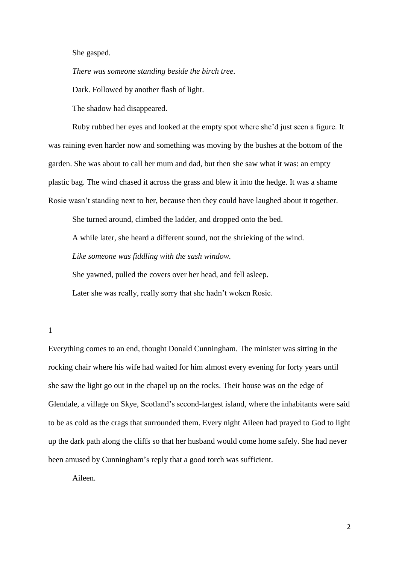She gasped.

*There was someone standing beside the birch tree.*

Dark. Followed by another flash of light.

The shadow had disappeared.

Ruby rubbed her eyes and looked at the empty spot where she'd just seen a figure. It was raining even harder now and something was moving by the bushes at the bottom of the garden. She was about to call her mum and dad, but then she saw what it was: an empty plastic bag. The wind chased it across the grass and blew it into the hedge. It was a shame Rosie wasn't standing next to her, because then they could have laughed about it together.

She turned around, climbed the ladder, and dropped onto the bed.

A while later, she heard a different sound, not the shrieking of the wind.

*Like someone was fiddling with the sash window.*

She yawned, pulled the covers over her head, and fell asleep.

Later she was really, really sorry that she hadn't woken Rosie.

1

Everything comes to an end, thought Donald Cunningham. The minister was sitting in the rocking chair where his wife had waited for him almost every evening for forty years until she saw the light go out in the chapel up on the rocks. Their house was on the edge of Glendale, a village on Skye, Scotland's second-largest island, where the inhabitants were said to be as cold as the crags that surrounded them. Every night Aileen had prayed to God to light up the dark path along the cliffs so that her husband would come home safely. She had never been amused by Cunningham's reply that a good torch was sufficient.

Aileen.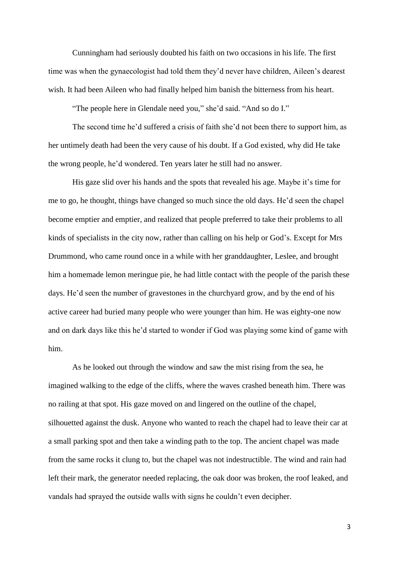Cunningham had seriously doubted his faith on two occasions in his life. The first time was when the gynaecologist had told them they'd never have children, Aileen's dearest wish. It had been Aileen who had finally helped him banish the bitterness from his heart.

"The people here in Glendale need you," she'd said. "And so do I."

The second time he'd suffered a crisis of faith she'd not been there to support him, as her untimely death had been the very cause of his doubt. If a God existed, why did He take the wrong people, he'd wondered. Ten years later he still had no answer.

His gaze slid over his hands and the spots that revealed his age. Maybe it's time for me to go, he thought, things have changed so much since the old days. He'd seen the chapel become emptier and emptier, and realized that people preferred to take their problems to all kinds of specialists in the city now, rather than calling on his help or God's. Except for Mrs Drummond, who came round once in a while with her granddaughter, Leslee, and brought him a homemade lemon meringue pie, he had little contact with the people of the parish these days. He'd seen the number of gravestones in the churchyard grow, and by the end of his active career had buried many people who were younger than him. He was eighty-one now and on dark days like this he'd started to wonder if God was playing some kind of game with him.

As he looked out through the window and saw the mist rising from the sea, he imagined walking to the edge of the cliffs, where the waves crashed beneath him. There was no railing at that spot. His gaze moved on and lingered on the outline of the chapel, silhouetted against the dusk. Anyone who wanted to reach the chapel had to leave their car at a small parking spot and then take a winding path to the top. The ancient chapel was made from the same rocks it clung to, but the chapel was not indestructible. The wind and rain had left their mark, the generator needed replacing, the oak door was broken, the roof leaked, and vandals had sprayed the outside walls with signs he couldn't even decipher.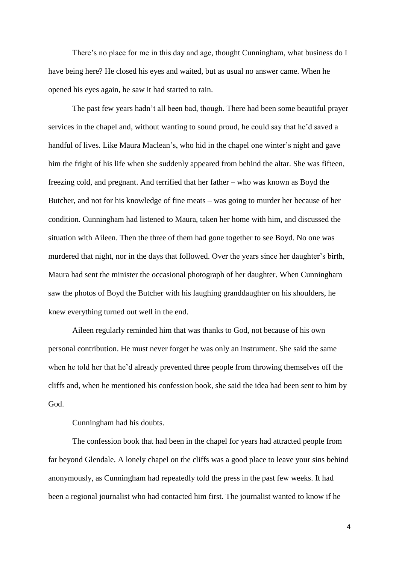There's no place for me in this day and age, thought Cunningham, what business do I have being here? He closed his eyes and waited, but as usual no answer came. When he opened his eyes again, he saw it had started to rain.

The past few years hadn't all been bad, though. There had been some beautiful prayer services in the chapel and, without wanting to sound proud, he could say that he'd saved a handful of lives. Like Maura Maclean's, who hid in the chapel one winter's night and gave him the fright of his life when she suddenly appeared from behind the altar. She was fifteen, freezing cold, and pregnant. And terrified that her father – who was known as Boyd the Butcher, and not for his knowledge of fine meats – was going to murder her because of her condition. Cunningham had listened to Maura, taken her home with him, and discussed the situation with Aileen. Then the three of them had gone together to see Boyd. No one was murdered that night, nor in the days that followed. Over the years since her daughter's birth, Maura had sent the minister the occasional photograph of her daughter. When Cunningham saw the photos of Boyd the Butcher with his laughing granddaughter on his shoulders, he knew everything turned out well in the end.

Aileen regularly reminded him that was thanks to God, not because of his own personal contribution. He must never forget he was only an instrument. She said the same when he told her that he'd already prevented three people from throwing themselves off the cliffs and, when he mentioned his confession book, she said the idea had been sent to him by God.

Cunningham had his doubts.

The confession book that had been in the chapel for years had attracted people from far beyond Glendale. A lonely chapel on the cliffs was a good place to leave your sins behind anonymously, as Cunningham had repeatedly told the press in the past few weeks. It had been a regional journalist who had contacted him first. The journalist wanted to know if he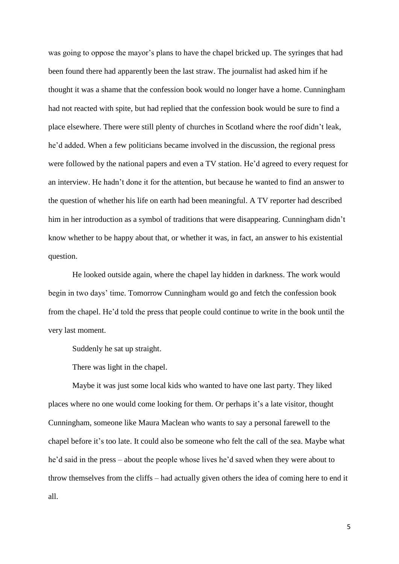was going to oppose the mayor's plans to have the chapel bricked up. The syringes that had been found there had apparently been the last straw. The journalist had asked him if he thought it was a shame that the confession book would no longer have a home. Cunningham had not reacted with spite, but had replied that the confession book would be sure to find a place elsewhere. There were still plenty of churches in Scotland where the roof didn't leak, he'd added. When a few politicians became involved in the discussion, the regional press were followed by the national papers and even a TV station. He'd agreed to every request for an interview. He hadn't done it for the attention, but because he wanted to find an answer to the question of whether his life on earth had been meaningful. A TV reporter had described him in her introduction as a symbol of traditions that were disappearing. Cunningham didn't know whether to be happy about that, or whether it was, in fact, an answer to his existential question.

He looked outside again, where the chapel lay hidden in darkness. The work would begin in two days' time. Tomorrow Cunningham would go and fetch the confession book from the chapel. He'd told the press that people could continue to write in the book until the very last moment.

Suddenly he sat up straight.

There was light in the chapel.

Maybe it was just some local kids who wanted to have one last party. They liked places where no one would come looking for them. Or perhaps it's a late visitor, thought Cunningham, someone like Maura Maclean who wants to say a personal farewell to the chapel before it's too late. It could also be someone who felt the call of the sea. Maybe what he'd said in the press – about the people whose lives he'd saved when they were about to throw themselves from the cliffs – had actually given others the idea of coming here to end it all.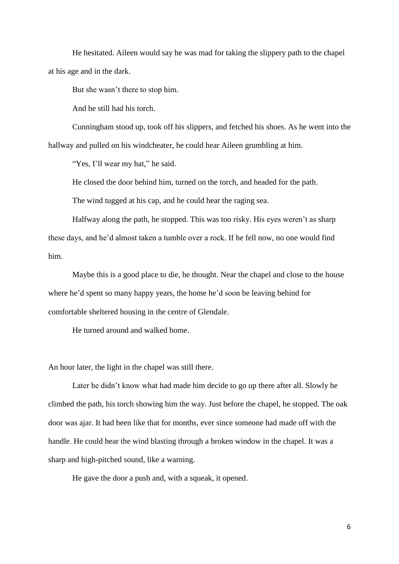He hesitated. Aileen would say he was mad for taking the slippery path to the chapel at his age and in the dark.

But she wasn't there to stop him.

And he still had his torch.

Cunningham stood up, took off his slippers, and fetched his shoes. As he went into the hallway and pulled on his windcheater, he could hear Aileen grumbling at him.

"Yes, I'll wear my hat," he said.

He closed the door behind him, turned on the torch, and headed for the path.

The wind tugged at his cap, and he could hear the raging sea.

Halfway along the path, he stopped. This was too risky. His eyes weren't as sharp these days, and he'd almost taken a tumble over a rock. If he fell now, no one would find him.

Maybe this is a good place to die, he thought. Near the chapel and close to the house where he'd spent so many happy years, the home he'd soon be leaving behind for comfortable sheltered housing in the centre of Glendale.

He turned around and walked home.

An hour later, the light in the chapel was still there.

Later he didn't know what had made him decide to go up there after all. Slowly he climbed the path, his torch showing him the way. Just before the chapel, he stopped. The oak door was ajar. It had been like that for months, ever since someone had made off with the handle. He could hear the wind blasting through a broken window in the chapel. It was a sharp and high-pitched sound, like a warning.

He gave the door a push and, with a squeak, it opened.